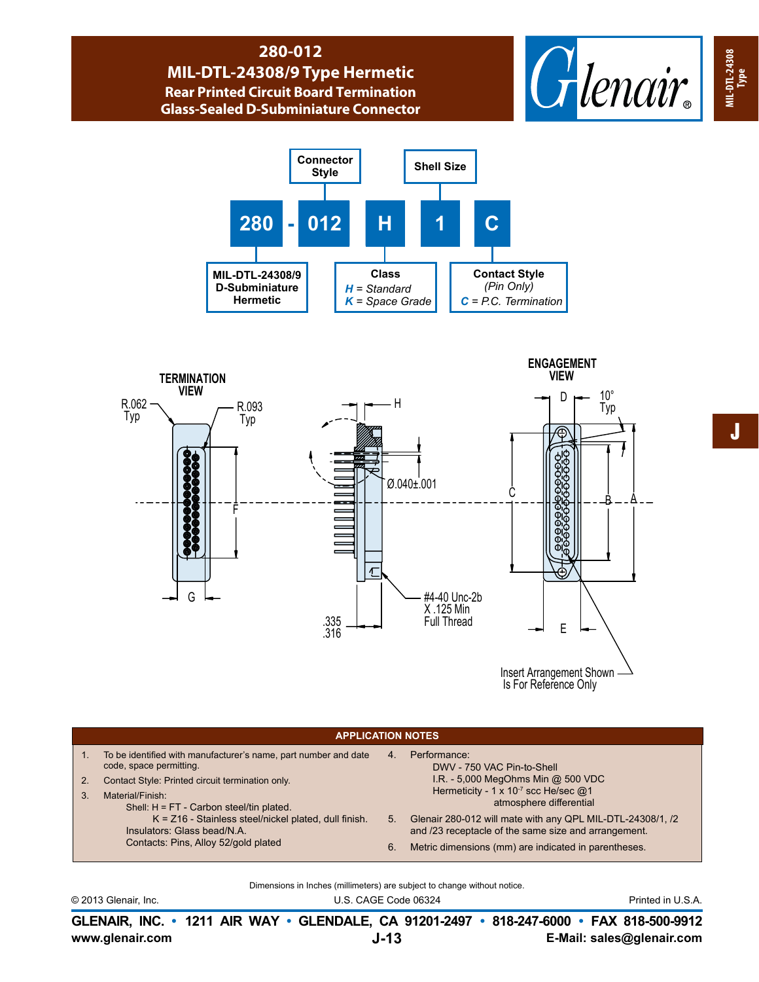## **280-012 MIL-DTL-24308/9 Type Hermetic Rear Printed Circuit Board Termination Glass-Sealed D-Subminiature Connector**







Is For Reference Only

|                            | <b>APPLICATION NOTES</b>                                                                                                                                                                                         |                      |                                                                                                                                                                            |  |  |  |  |  |  |  |
|----------------------------|------------------------------------------------------------------------------------------------------------------------------------------------------------------------------------------------------------------|----------------------|----------------------------------------------------------------------------------------------------------------------------------------------------------------------------|--|--|--|--|--|--|--|
| 1 <sub>1</sub><br>2.<br>3. | To be identified with manufacturer's name, part number and date<br>code, space permitting.<br>Contact Style: Printed circuit termination only.<br>Material/Finish:<br>Shell: $H = FT - Carbon steel/tin plated.$ | $\overline{4}$       | Performance:<br>DWV - 750 VAC Pin-to-Shell<br>I.R. - 5,000 MegOhms Min @ 500 VDC<br>Hermeticity - 1 x 10 <sup>-7</sup> scc He/sec @1<br>atmosphere differential            |  |  |  |  |  |  |  |
|                            | $K = Z16$ - Stainless steel/nickel plated, dull finish.<br>Insulators: Glass bead/N.A.<br>Contacts: Pins, Alloy 52/gold plated                                                                                   | 5 <sup>1</sup><br>6. | Glenair 280-012 will mate with any QPL MIL-DTL-24308/1, /2<br>and /23 receptacle of the same size and arrangement.<br>Metric dimensions (mm) are indicated in parentheses. |  |  |  |  |  |  |  |

Dimensions in Inches (millimeters) are subject to change without notice.

© 2013 Glenair, Inc. U.S. CAGE Code 06324 Printed in U.S.A.

**www.glenair.com E-Mail: sales@glenair.com GLENAIR, INC. • 1211 AIR WAY • GLENDALE, CA 91201-2497 • 818-247-6000 • FAX 818-500-9912 J-13**